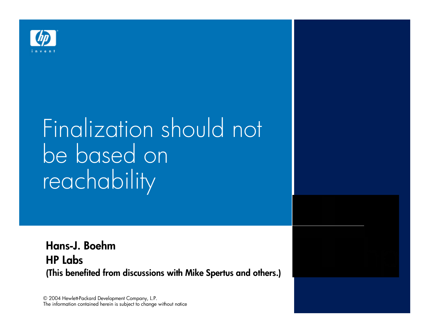

# Finalization should not be based on reachability

Hans-J. Boehm *HP Labs* **(This benefited from discussions with Mike Spertus and others.)**

© 2004 Hewlett-Packard Development Company, L.P. The information contained herein is subject to change without notice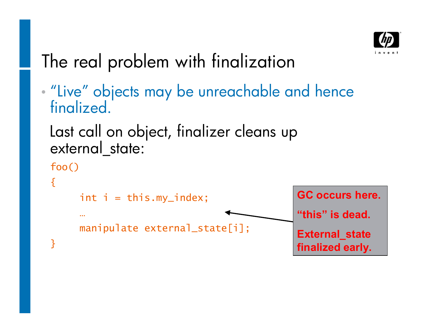

### The real problem with finalization

• "Live" objects may be unreachable and hence **finalized** 

```
Last call on object, finalizer cleans up 
external state:
```

```
foo()
{
      int i = thismy_index;\mathbf{r} , \mathbf{r}manipulate external_state[i];
}
                                                      GC occurs here.
                                                      "this" is dead.
                                                      External_state
                                                      finalized early.
```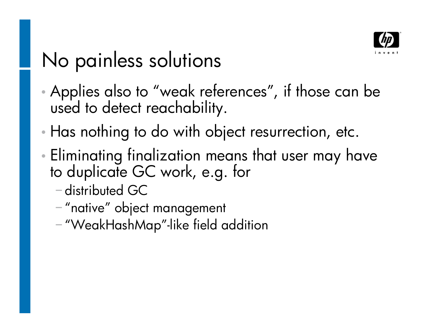

### No painless solutions

- Applies also to "weak references", if those can be used to detect reachability.
- Has nothing to do with object resurrection, etc.
- Eliminating finalization means that user may have to duplicate GC work, e.g. for
	- distributed GC
	- -"native" object management
	- "WeakHashMap"-like field addition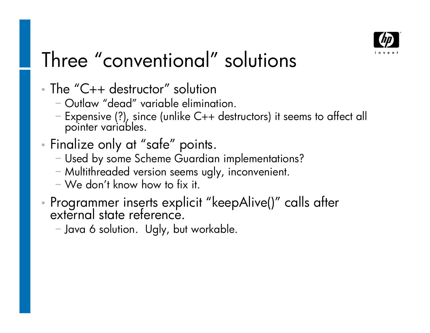

# Three "conventional" solutions

- The "C++ destructor" solution
	- Outlaw "dead" variable elimination.
	- Expensive (?), since (unlike C++ destructors) it seems to affect all pointer variables.
- Finalize only at "safe" points.
	- Used by some Scheme Guardian implementations?
	- Multithreaded version seems ugly, inconvenient.
	- $-$  We don't know how to fix it.
- Programmer inserts explicit "keepAlive()" calls after external state reference.
	- Java 6 solution. Ugly, but workable.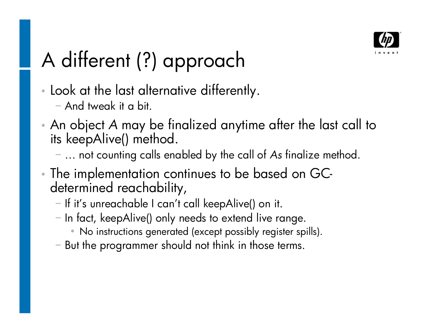

# A different (?) approach

- Look at the last alternative differently.
	- And tweak it a bit.
- An object *A* may be finalized anytime after the last call to its keepAlive() method.
	- ... not counting calls enabled by the call of As finalize method.
- The implementation continues to be based on GCdetermined reachability,
	- If it's unreachable I can't call keepAlive() on it.
	- $-$  In fact, keepAlive() only needs to extend live range.
		- No instructions generated (except possibly register spills).
	- But the programmer should not think in those terms.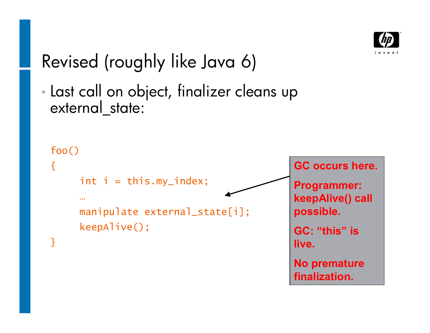

#### Revised (roughly like Java 6)

 Last call on object, finalizer cleans up external state:

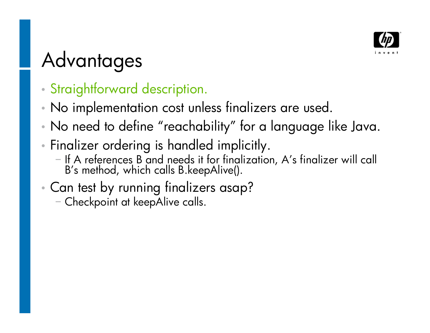

## Advantages

- Straightforward description.
- No implementation cost unless finalizers are used.
- No need to define "reachability" for a language like Java.
- Finalizer ordering is handled implicitly.
	- If A references B and needs it for finalization, A's finalizer will call B's method, which calls B.keepAlive().
- Can test by running finalizers asap?
	- Checkpoint at keepAlive calls.